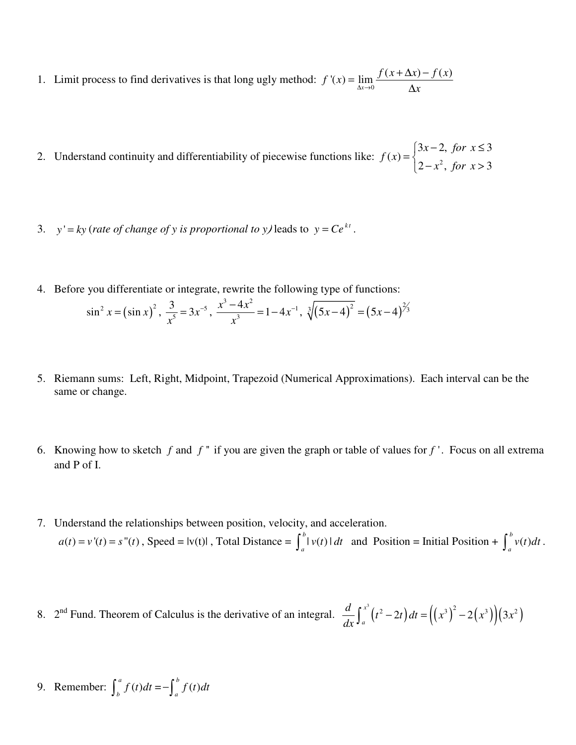1. Limit process to find derivatives is that long ugly method:  $f'(x) = \lim_{\Delta x \to 0} \frac{f(x + \Delta x) - f(x)}{\Delta x}$  $\Delta x \rightarrow 0$   $\Delta x$  $=$   $\lim \frac{f(x + \Delta x) - f(x)}{f(x + \Delta x)}$ ∆

2. Understand continuity and differentiability of piecewise functions like:  $f(x) = \begin{cases} 2 & x^2 \end{cases}$  $3x-2, for x \leq 3$  $(x)$  $2-x^2$ , for  $x>3$ *x for x f x x for x*  $\begin{cases} 3x-2, & \text{for } x \leq 1 \end{cases}$  $=\{$  $\left(2-x^2, for x\right)$ 

- 3. *y*' =  $ky$  (*rate of change of y is proportional to y)* leads to  $y = Ce^{kt}$ .
- 4. Before you differentiate or integrate, rewrite the following type of functions:

$$
\sin^2 x = (\sin x)^2, \ \frac{3}{x^5} = 3x^{-5}, \ \frac{x^3 - 4x^2}{x^3} = 1 - 4x^{-1}, \sqrt[3]{(5x - 4)^2} = (5x - 4)^{2/3}
$$

- 5. Riemann sums: Left, Right, Midpoint, Trapezoid (Numerical Approximations). Each interval can be the same or change.
- 6. Knowing how to sketch  $f$  and  $f'$  if you are given the graph or table of values for  $f'$ . Focus on all extrema and P of I.
- 7. Understand the relationships between position, velocity, and acceleration.  $a(t) = v'(t) = s''(t)$ , Speed = |v(t)|, Total Distance =  $\int_0^b |v(t)|$  $\int_a^b |v(t)| dt$  and Position = Initial Position +  $\int_a^b v(t)$  $\int_a^b v(t)dt$ .
- 8. 2<sup>nd</sup> Fund. Theorem of Calculus is the derivative of an integral.  $\frac{d}{dx}\int_a^x (t^2-2t) dt = ((x^3)^2 2(x^3))(3x^2)$ *a*  $\frac{d}{dt}\int_{0}^{x^{3}}(t^{2}-2t)dt = ((x^{3})^{2}-2(x^{3}))(3x^{3})$  $\frac{d}{dx}\int_{a}^{x}(t^2-2t)dt=\left(\left(x^3\right)^2-\right)$

9. Remember: 
$$
\int_{b}^{a} f(t)dt = -\int_{a}^{b} f(t)dt
$$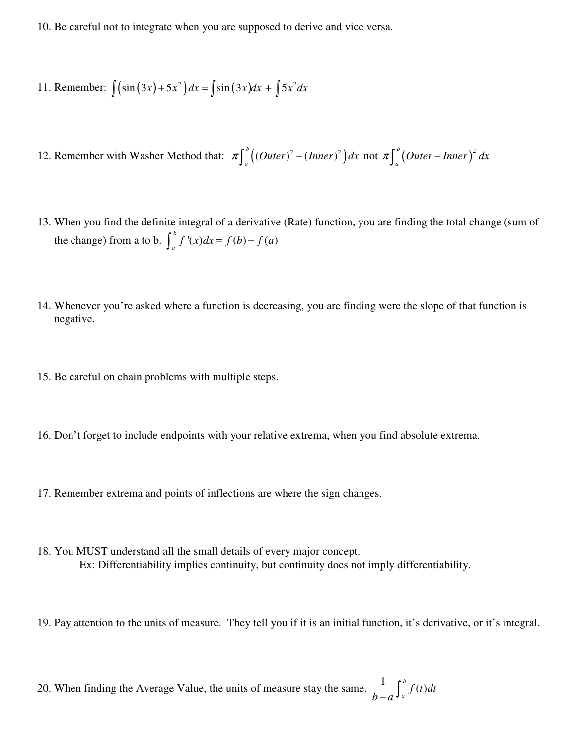10. Be careful not to integrate when you are supposed to derive and vice versa.

11. Remember: 
$$
\int (\sin(3x) + 5x^2) dx = \int \sin(3x) dx + \int 5x^2 dx
$$

12. Remember with Washer Method that:  $\pi \int_{a}^{b} \left( (Outer)^2 - (Inner)^2 \right)$ .  $\pi \int_{a}^{b} \left( (Outer)^{2} - (Inner)^{2} \right) dx$  not  $\pi \int_{a}^{b} \left( Outer - Inner \right)^{2}$  $\pi \int_{a}^{b} (Outer-Inner)^{2} dx$ 

- 13. When you find the definite integral of a derivative (Rate) function, you are finding the total change (sum of the change) from a to b.  $\int_{a}^{b} f'(x) dx = f(b) - f(a)$  $\int_{a}^{b} f'(x) dx = f(b) - f(a)$
- 14. Whenever you're asked where a function is decreasing, you are finding were the slope of that function is negative.
- 15. Be careful on chain problems with multiple steps.
- 16. Don't forget to include endpoints with your relative extrema, when you find absolute extrema.
- 17. Remember extrema and points of inflections are where the sign changes.
- 18. You MUST understand all the small details of every major concept. Ex: Differentiability implies continuity, but continuity does not imply differentiability.
- 19. Pay attention to the units of measure. They tell you if it is an initial function, it's derivative, or it's integral.

20. When finding the Average Value, the units of measure stay the same.  $\frac{1}{b} \int_{a}^{b} f(t)$  $\int_a^b f(t)dt$  $\frac{1}{b-a}$